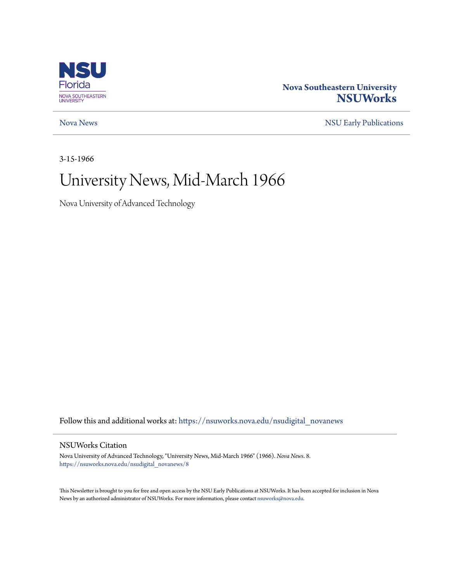

### **Nova Southeastern University [NSUWorks](https://nsuworks.nova.edu?utm_source=nsuworks.nova.edu%2Fnsudigital_novanews%2F8&utm_medium=PDF&utm_campaign=PDFCoverPages)**

[Nova News](https://nsuworks.nova.edu/nsudigital_novanews?utm_source=nsuworks.nova.edu%2Fnsudigital_novanews%2F8&utm_medium=PDF&utm_campaign=PDFCoverPages) [NSU Early Publications](https://nsuworks.nova.edu/nsudigital_earlypubs?utm_source=nsuworks.nova.edu%2Fnsudigital_novanews%2F8&utm_medium=PDF&utm_campaign=PDFCoverPages)

3-15-1966

## University News, Mid-March 1966

Nova University of Advanced Technology

Follow this and additional works at: [https://nsuworks.nova.edu/nsudigital\\_novanews](https://nsuworks.nova.edu/nsudigital_novanews?utm_source=nsuworks.nova.edu%2Fnsudigital_novanews%2F8&utm_medium=PDF&utm_campaign=PDFCoverPages)

#### NSUWorks Citation

Nova University of Advanced Technology, "University News, Mid-March 1966" (1966). *Nova News*. 8. [https://nsuworks.nova.edu/nsudigital\\_novanews/8](https://nsuworks.nova.edu/nsudigital_novanews/8?utm_source=nsuworks.nova.edu%2Fnsudigital_novanews%2F8&utm_medium=PDF&utm_campaign=PDFCoverPages)

This Newsletter is brought to you for free and open access by the NSU Early Publications at NSUWorks. It has been accepted for inclusion in Nova News by an authorized administrator of NSUWorks. For more information, please contact [nsuworks@nova.edu.](mailto:nsuworks@nova.edu)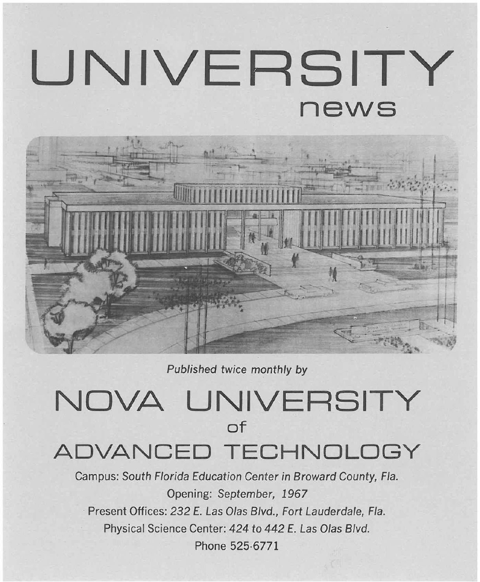# **UNIVERSITY news**



Published twice monthly by

# **NOVA UNIVERSITY of ADVANCED TECHNOLOGY**

Campus: South Florida Education Center in Broward County, Fla. Opening: September, 1967 Present Offices: 232 E. Las Olas Blvd., Fort Lauderdale, Fla. Physical Science Center: 424 to 442 E. Las Olas Blvd. Phone 525·6771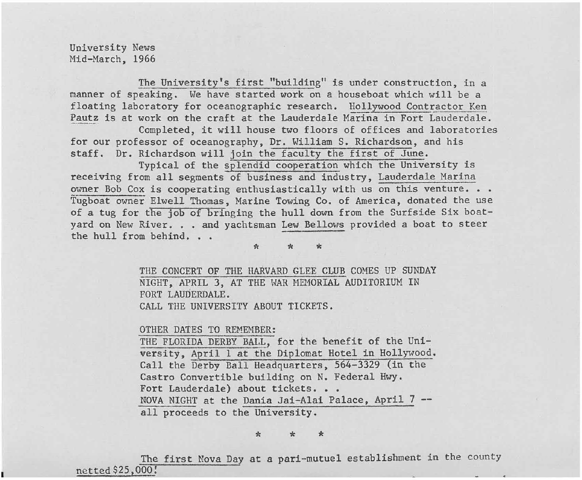University News Mid-March, 1966

The University's first "building" is under construction, in a manner of speaking. We have started work on a houseboat which will be a floating laboratory for oceanographic research. Hollywood Contractor Ken Pautz is at work on the craft at the Lauderdale Marina in Fort Lauderdale.

Completed, it will house two floors of offices and laboratories for our professor of oceanography, Dr. William S. Richardson, and his staff. Dr. Richardson will join the faculty the first of June.

Typical of the splendid cooperation which the University is receiving from all segments of business and industry, Lauderdale Marina owner Bob Cox is cooperating enthusiastically with us on this venture. . . Tugboat owner Elwell Thomas, Marine Towing Co. of America, donated the use of a tug for the job of bringing the hull down from the Surfside Six boatyard on New River. . . and yachtsman Lew Bellows provided a boat to steer the hull from behind. . .

\* \* \*

THE CONCERT OF THE HARVARD GLEE CLUB COMES UP SUNDAY NIGHT, APRIL 3, AT THE WAR MEMORIAL AUDITORIUM IN FORT LAUDERDALE. CALL THE UNIVERSITY ABOUT TICKETS.

OTHER DATES TO REMEMBER:

THE FLORIDA DERBY BALL, for the benefit of the University, April 1 at the Dip10mat Hotel in Hollywood. Call the Derby Ball Headquarters, 564-3329 (in the Castro Convertible building on N. Federal Hwy. Fort Lauderdale) about tickets. . . NOVA NIGHT at the Dania Jai-Alai Palace, April 7 - all proceeds to the University.

\* \* \*

The first Nova Day at a pari-mutuel establishment in the county netted \$25,000!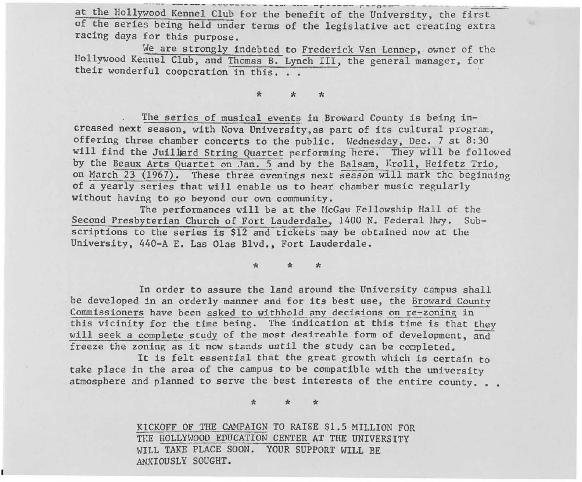**---- -. ----- -------- - .. -\_.** --~- *-r- ----* **<sup>r</sup> --o- - --** ..... \_ \_ \_ . -.. at the Hollywood Kennel Club for the benefit of the University, the first of the series being held under terms of the legislative act creating extra racing days for this purpose.

We are strongly indebted to Frederick Van Lennep, owner of the Hollywood Kennel Club, and Thomas B. Lynch III, the general manager, for their wonderful cooperation in this. . .

### \* \* \*

The series of musical events in Broward County is being increased next season, with Nova University, as part of its cultural program, offering three chamber concerts to the public. Wednesday, Dec. 7 at 8:30 will find the Juillard String Quartet performing here. They will be followed by the Beaux Arts Quartet on Jan. 5 and by the Balsam, Kroll, Heifetz Trio, on March 23 (1967). These three evenings next season will mark the beginning of a yearly series that will enable us to hear chamber music regularly without having to go beyond our own community.

The performances will be at the McGau Fellowship Hall of the Second Presbyterian Church of Fort Lauderdale, 1400 N. Federal Hwy. Subscriptions to the series is \$12 and tickets may be obtained now at the University, 440-A E. Las Olas Blvd., Fort Lauderdale.

\* \* \*

In order to assure the land around the University campus shall be developed in an orderly manner and for its best use, the Broward County Commissioners have been asked to wi thhold any decisions on re-zoning in this vicinity for the time being. The indication at this time is that they will seek a complete study of the most desireable form of development, and freeze the zoning as it now stands until the study can be completed.

It is felt essential that the great growth which is certain to take place in the area of the campus to be compatible with the university atmosphere and planned to serve the best interests of the entire county. . .

\* \* \*

KICKOFF OF THE CAMPAIGN TO RAISE \$1.5 MILLION FOR THE HOLLYWOOD EDUCATION CENTER AT THE UNIVERSITY WILL TAKE PLACE SOON. YOUR SUPPORT WILL BE ANXIOUSLY SOUGHT.